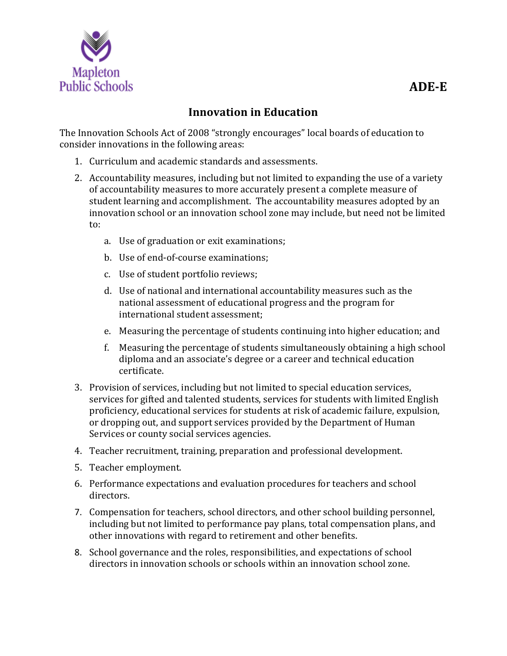

## **Innovation in Education**

The Innovation Schools Act of 2008 "strongly encourages" local boards of education to consider innovations in the following areas:

- 1. Curriculum and academic standards and assessments.
- 2. Accountability measures, including but not limited to expanding the use of a variety of accountability measures to more accurately present a complete measure of student learning and accomplishment. The accountability measures adopted by an innovation school or an innovation school zone may include, but need not be limited to:
	- a. Use of graduation or exit examinations;
	- b. Use of end-of-course examinations;
	- c. Use of student portfolio reviews;
	- d. Use of national and international accountability measures such as the national assessment of educational progress and the program for international student assessment;
	- e. Measuring the percentage of students continuing into higher education; and
	- f. Measuring the percentage of students simultaneously obtaining a high school diploma and an associate's degree or a career and technical education certificate.
- 3. Provision of services, including but not limited to special education services, services for gifted and talented students, services for students with limited English proficiency, educational services for students at risk of academic failure, expulsion, or dropping out, and support services provided by the Department of Human Services or county social services agencies.
- 4. Teacher recruitment, training, preparation and professional development.
- 5. Teacher employment.
- 6. Performance expectations and evaluation procedures for teachers and school directors.
- 7. Compensation for teachers, school directors, and other school building personnel, including but not limited to performance pay plans, total compensation plans, and other innovations with regard to retirement and other benefits.
- 8. School governance and the roles, responsibilities, and expectations of school directors in innovation schools or schools within an innovation school zone.